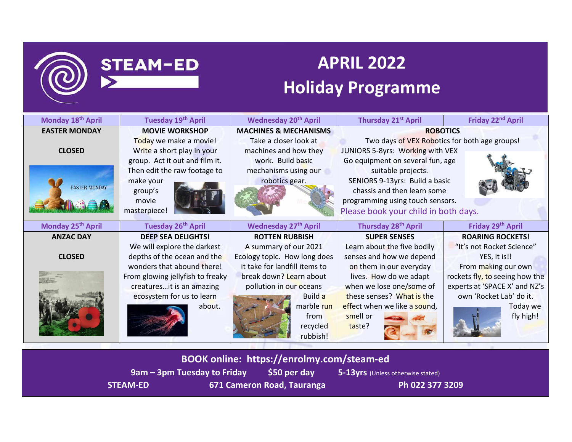

# **APRIL 2022**

# **Holiday Programme**

| Monday 18th April             | Tuesday 19th April               | <b>Wednesday 20th April</b>      | Thursday 21 <sup>st</sup> April               | Friday 22 <sup>nd</sup> April  |
|-------------------------------|----------------------------------|----------------------------------|-----------------------------------------------|--------------------------------|
| <b>EASTER MONDAY</b>          | <b>MOVIE WORKSHOP</b>            | <b>MACHINES &amp; MECHANISMS</b> | <b>ROBOTICS</b>                               |                                |
|                               | Today we make a movie!           | Take a closer look at            | Two days of VEX Robotics for both age groups! |                                |
| <b>CLOSED</b>                 | Write a short play in your       | machines and how they            | JUNIORS 5-8yrs: Working with VEX              |                                |
|                               | group. Act it out and film it.   | work. Build basic                | Go equipment on several fun, age              |                                |
|                               | Then edit the raw footage to     | mechanisms using our             | suitable projects.                            |                                |
|                               | make your                        | robotics gear.                   | SENIORS 9-13yrs: Build a basic                |                                |
| <b>EASTER MONDAY</b>          | group's                          |                                  | chassis and then learn some                   |                                |
|                               | movie                            |                                  | programming using touch sensors.              |                                |
|                               | masterpiece!                     |                                  | Please book your child in both days.          |                                |
| Monday 25 <sup>th</sup> April | Tuesday 26 <sup>th</sup> April   | <b>Wednesday 27th April</b>      | Thursday 28 <sup>th</sup> April               | Friday 29th April              |
| <b>ANZAC DAY</b>              | <b>DEEP SEA DELIGHTS!</b>        | <b>ROTTEN RUBBISH</b>            | <b>SUPER SENSES</b>                           | <b>ROARING ROCKETS!</b>        |
|                               | We will explore the darkest      | A summary of our 2021            | Learn about the five bodily                   | "It's not Rocket Science"      |
| <b>CLOSED</b>                 | depths of the ocean and the      | Ecology topic. How long does     | senses and how we depend                      | YES, it is!!                   |
|                               | wonders that abound there!       | it take for landfill items to    | on them in our everyday                       | From making our own            |
|                               | From glowing jellyfish to freaky | break down? Learn about          | lives. How do we adapt                        | rockets fly, to seeing how the |
|                               | creaturesit is an amazing        | pollution in our oceans          | when we lose one/some of                      | experts at 'SPACE X' and NZ's  |
|                               | ecosystem for us to learn        | Build a                          | these senses? What is the                     | own 'Rocket Lab' do it.        |
|                               | about.                           | marble run                       | effect when we like a sound,                  | Today we                       |
|                               |                                  | from                             | smell or                                      | fly high!                      |
|                               |                                  | recycled                         | taste?                                        |                                |
|                               |                                  | rubbish!                         |                                               |                                |

**BOOK online: https://enrolmy.com/steam-ed 9am – 3pm Tuesday to Friday 550 per day 5-13yrs** (Unless otherwise stated)

**STEAM-ED** 

STEAM-ED 671 Cameron Road, Tauranga Ph 022 377 3209